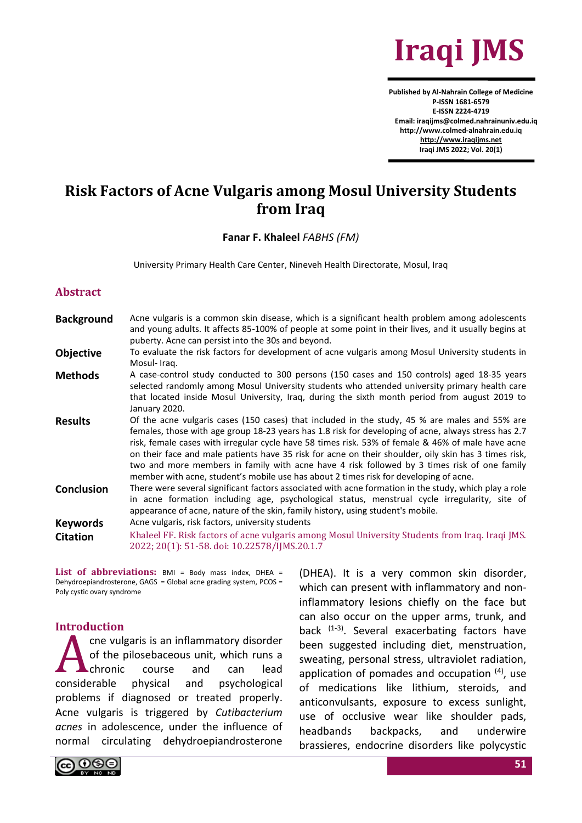

**Published by Al-Nahrain College of Medicine P-ISSN 1681-6579 E-ISSN 2224-4719 Email: iraqijms@colmed.nahrainuniv.edu.iq http://www.colmed-alnahrain.edu.iq [http://www.iraqijms.net](http://www.iraqijms.net/) Iraqi JMS 2022; Vol. 20(1)**

# **Risk Factors of Acne Vulgaris among Mosul University Students from Iraq**

#### **Fanar F. Khaleel** *FABHS (FM)*

University Primary Health Care Center, Nineveh Health Directorate, Mosul, Iraq

#### **Abstract**

**Background** Acne vulgaris is a common skin disease, which is a significant health problem among adolescents and young adults. It affects 85-100% of people at some point in their lives, and it usually begins at puberty. Acne can persist into the 30s and beyond. **Objective** To evaluate the risk factors for development of acne vulgaris among Mosul University students in Mosul- Iraq. Methods A case-control study conducted to 300 persons (150 cases and 150 controls) aged 18-35 years selected randomly among Mosul University students who attended university primary health care that located inside Mosul University, Iraq, during the sixth month period from august 2019 to January 2020. **Results** Of the acne vulgaris cases (150 cases) that included in the study, 45 % are males and 55% are females, those with age group 18-23 years has 1.8 risk for developing of acne, always stress has 2.7 risk, female cases with irregular cycle have 58 times risk. 53% of female & 46% of male have acne on their face and male patients have 35 risk for acne on their shoulder, oily skin has 3 times risk, two and more members in family with acne have 4 risk followed by 3 times risk of one family member with acne, student's mobile use has about 2 times risk for developing of acne. **Conclusion** There were several significant factors associated with acne formation in the study, which play a role in acne formation including age, psychological status, menstrual cycle irregularity, site of appearance of acne, nature of the skin, family history, using student's mobile. **Keywords** Acne vulgaris, risk factors, university students **Citation** Khaleel FF. Risk factors of acne vulgaris among Mosul University Students from Iraq. Iraqi JMS. 2022; 20(1): 51-58. doi: 10.22578/IJMS.20.1.7

List of abbreviations: BMI = Body mass index, DHEA = Dehydroepiandrosterone, GAGS = Global acne grading system, PCOS = Poly cystic ovary syndrome

#### **Introduction**

cne vulgaris is an inflammatory disorder of the pilosebaceous unit, which runs a chronic course and can lead considerable physical and psychological problems if diagnosed or treated properly. Acne vulgaris is triggered by *Cutibacterium acnes* in adolescence, under the influence of normal circulating dehydroepiandrosterone A

(DHEA). It is a very common skin disorder, which can present with inflammatory and noninflammatory lesions chiefly on the face but can also occur on the upper arms, trunk, and back (1-3). Several exacerbating factors have been suggested including diet, menstruation, sweating, personal stress, ultraviolet radiation, application of pomades and occupation <sup>(4)</sup>, use of medications like lithium, steroids, and anticonvulsants, exposure to excess sunlight, use of occlusive wear like shoulder pads, headbands backpacks, and underwire brassieres, endocrine disorders like polycystic

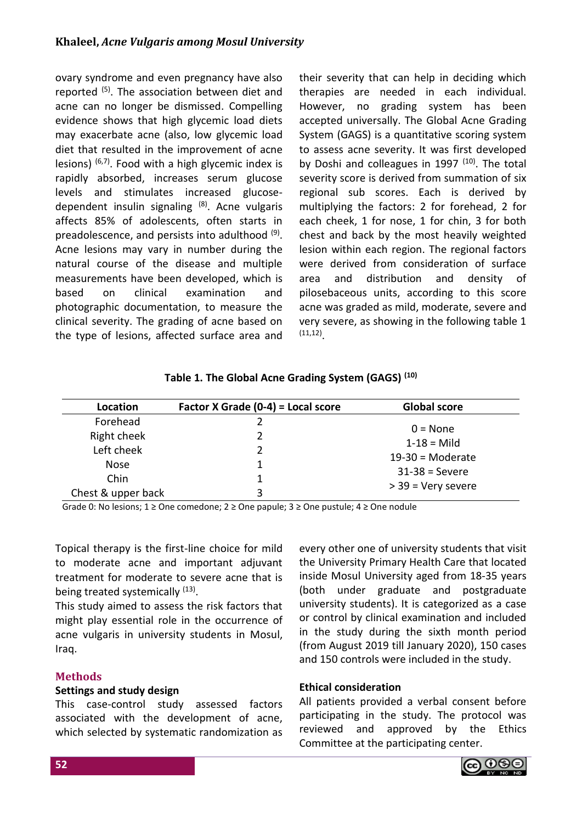ovary syndrome and even pregnancy have also reported (5). The association between diet and acne can no longer be dismissed. Compelling evidence shows that high glycemic load diets may exacerbate acne (also, low glycemic load diet that resulted in the improvement of acne lesions)  $(6,7)$ . Food with a high glycemic index is rapidly absorbed, increases serum glucose levels and stimulates increased glucosedependent insulin signaling (8). Acne vulgaris affects 85% of adolescents, often starts in preadolescence, and persists into adulthood <sup>(9)</sup>. Acne lesions may vary in number during the natural course of the disease and multiple measurements have been developed, which is based on clinical examination and photographic documentation, to measure the clinical severity. The grading of acne based on the type of lesions, affected surface area and their severity that can help in deciding which therapies are needed in each individual. However, no grading system has been accepted universally. The Global Acne Grading System (GAGS) is a quantitative scoring system to assess acne severity. It was first developed by Doshi and colleagues in 1997  $(10)$ . The total severity score is derived from summation of six regional sub scores. Each is derived by multiplying the factors: 2 for forehead, 2 for each cheek, 1 for nose, 1 for chin, 3 for both chest and back by the most heavily weighted lesion within each region. The regional factors were derived from consideration of surface area and distribution and density of pilosebaceous units, according to this score acne was graded as mild, moderate, severe and very severe, as showing in the following table 1 (11,12) .

| Location           | Factor X Grade (0-4) = Local score | <b>Global score</b> |
|--------------------|------------------------------------|---------------------|
| Forehead           |                                    | $0 = \text{None}$   |
| Right cheek        |                                    | $1 - 18 =$ Mild     |
| Left cheek         |                                    |                     |
| <b>Nose</b>        |                                    | $19-30$ = Moderate  |
| Chin               |                                    | $31-38$ = Severe    |
| Chest & upper back |                                    | > 39 = Very severe  |

Grade 0: No lesions; 1 ≥ One comedone; 2 ≥ One papule; 3 ≥ One pustule; 4 ≥ One nodule

Topical therapy is the first-line choice for mild to moderate acne and important adjuvant treatment for moderate to severe acne that is being treated systemically <sup>(13)</sup>.

This study aimed to assess the risk factors that might play essential role in the occurrence of acne vulgaris in university students in Mosul, Iraq.

# **Methods**

### **Settings and study design**

This case-control study assessed factors associated with the development of acne, which selected by systematic randomization as

every other one of university students that visit the University Primary Health Care that located inside Mosul University aged from 18-35 years (both under graduate and postgraduate university students). It is categorized as a case or control by clinical examination and included in the study during the sixth month period (from August 2019 till January 2020), 150 cases and 150 controls were included in the study.

### **Ethical consideration**

All patients provided a verbal consent before participating in the study. The protocol was reviewed and approved by the Ethics Committee at the participating center.

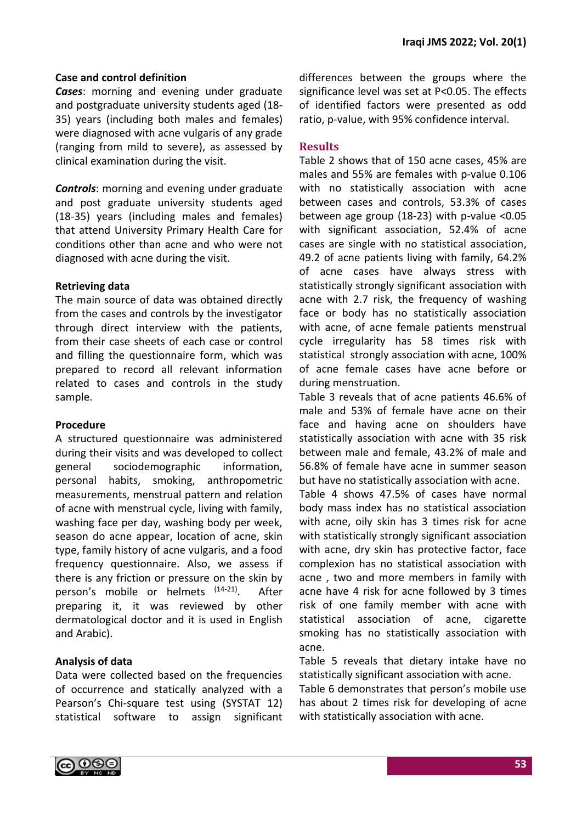## **Case and control definition**

*Cases*: morning and evening under graduate and postgraduate university students aged (18- 35) years (including both males and females) were diagnosed with acne vulgaris of any grade (ranging from mild to severe), as assessed by clinical examination during the visit.

*Controls*: morning and evening under graduate and post graduate university students aged (18-35) years (including males and females) that attend University Primary Health Care for conditions other than acne and who were not diagnosed with acne during the visit.

### **Retrieving data**

The main source of data was obtained directly from the cases and controls by the investigator through direct interview with the patients, from their case sheets of each case or control and filling the questionnaire form, which was prepared to record all relevant information related to cases and controls in the study sample.

### **Procedure**

A structured questionnaire was administered during their visits and was developed to collect general sociodemographic information, personal habits, smoking, anthropometric measurements, menstrual pattern and relation of acne with menstrual cycle, living with family, washing face per day, washing body per week, season do acne appear, location of acne, skin type, family history of acne vulgaris, and a food frequency questionnaire. Also, we assess if there is any friction or pressure on the skin by person's mobile or helmets (14-21). . After preparing it, it was reviewed by other dermatological doctor and it is used in English and Arabic).

# **Analysis of data**

Data were collected based on the frequencies of occurrence and statically analyzed with a Pearson's Chi-square test using (SYSTAT 12) statistical software to assign significant differences between the groups where the significance level was set at P<0.05. The effects of identified factors were presented as odd ratio, p-value, with 95% confidence interval.

# **Results**

Table 2 shows that of 150 acne cases, 45% are males and 55% are females with p-value 0.106 with no statistically association with acne between cases and controls, 53.3% of cases between age group (18-23) with p-value <0.05 with significant association, 52.4% of acne cases are single with no statistical association, 49.2 of acne patients living with family, 64.2% of acne cases have always stress with statistically strongly significant association with acne with 2.7 risk, the frequency of washing face or body has no statistically association with acne, of acne female patients menstrual cycle irregularity has 58 times risk with statistical strongly association with acne, 100% of acne female cases have acne before or during menstruation.

Table 3 reveals that of acne patients 46.6% of male and 53% of female have acne on their face and having acne on shoulders have statistically association with acne with 35 risk between male and female, 43.2% of male and 56.8% of female have acne in summer season but have no statistically association with acne.

Table 4 shows 47.5% of cases have normal body mass index has no statistical association with acne, oily skin has 3 times risk for acne with statistically strongly significant association with acne, dry skin has protective factor, face complexion has no statistical association with acne , two and more members in family with acne have 4 risk for acne followed by 3 times risk of one family member with acne with statistical association of acne, cigarette smoking has no statistically association with acne.

Table 5 reveals that dietary intake have no statistically significant association with acne.

Table 6 demonstrates that person's mobile use has about 2 times risk for developing of acne with statistically association with acne.

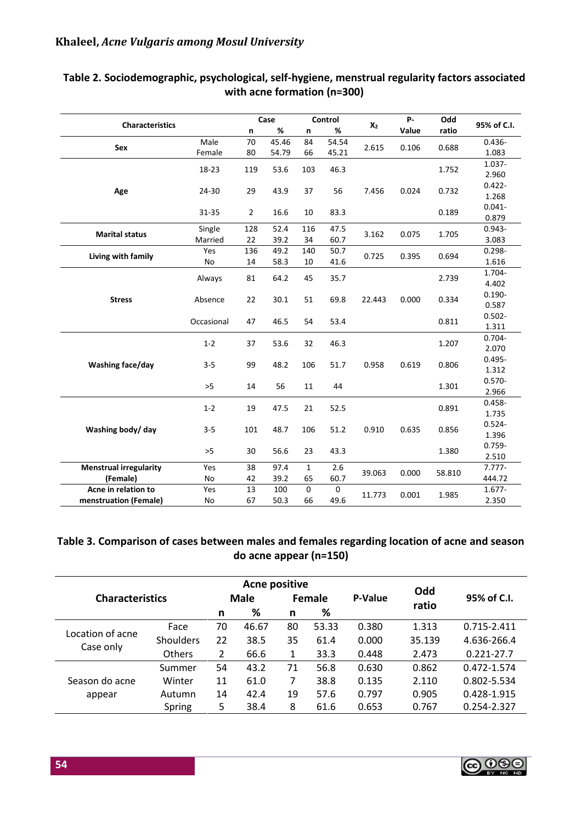| <b>Characteristics</b>        |            |                | Case  |              | Control     | $X_2$  | P-    | Odd    | 95% of C.I.        |
|-------------------------------|------------|----------------|-------|--------------|-------------|--------|-------|--------|--------------------|
|                               |            | $\mathsf{n}$   | %     | n            | %           |        | Value | ratio  |                    |
| Sex                           | Male       | 70             | 45.46 | 84           | 54.54       | 2.615  | 0.106 | 0.688  | $0.436 -$          |
|                               | Female     | 80             | 54.79 | 66           | 45.21       |        |       |        | 1.083              |
|                               | 18-23      | 119            | 53.6  | 103          | 46.3        |        |       | 1.752  | 1.037-             |
|                               |            |                |       |              |             |        |       |        | 2.960              |
| Age                           | 24-30      | 29             | 43.9  | 37           | 56          | 7.456  | 0.024 | 0.732  | $0.422 -$          |
|                               |            |                |       |              |             |        |       |        | 1.268              |
|                               | 31-35      | $\overline{2}$ | 16.6  | 10           | 83.3        |        |       | 0.189  | $0.041 -$          |
|                               |            |                |       |              |             |        |       |        | 0.879              |
| <b>Marital status</b>         | Single     | 128            | 52.4  | 116          | 47.5        | 3.162  | 0.075 | 1.705  | $0.943 -$          |
|                               | Married    | 22             | 39.2  | 34           | 60.7        |        |       |        | 3.083              |
| Living with family            | Yes        | 136            | 49.2  | 140          | 50.7        | 0.725  | 0.395 | 0.694  | $0.298 -$          |
|                               | No         | 14             | 58.3  | 10           | 41.6        |        |       |        | 1.616              |
|                               | Always     | 81             | 64.2  | 45           | 35.7        |        |       | 2.739  | 1.704-             |
|                               |            |                |       |              |             |        |       |        | 4.402              |
| <b>Stress</b>                 | Absence    | 22             | 30.1  | 51           | 69.8        | 22.443 | 0.000 | 0.334  | $0.190 -$          |
|                               |            |                |       |              |             |        |       |        | 0.587              |
|                               | Occasional | 47             | 46.5  | 54           | 53.4        |        |       | 0.811  | $0.502 -$          |
|                               |            |                |       |              |             |        |       |        | 1.311              |
|                               | $1 - 2$    | 37             | 53.6  | 32           | 46.3        |        |       | 1.207  | $0.704 -$          |
|                               |            |                |       |              |             |        |       |        | 2.070              |
| Washing face/day              | $3 - 5$    | 99             | 48.2  | 106          | 51.7        | 0.958  | 0.619 | 0.806  | $0.495 -$          |
|                               |            |                |       |              |             |        |       |        | 1.312              |
|                               | $>5$       | 14             | 56    | 11           | 44          |        |       | 1.301  | $0.570 -$          |
|                               |            |                |       |              |             |        |       |        | 2.966              |
|                               | $1 - 2$    | 19             | 47.5  | 21           | 52.5        |        |       | 0.891  | $0.458 -$          |
|                               |            |                |       |              |             |        |       |        | 1.735<br>$0.524 -$ |
| Washing body/ day             | $3 - 5$    | 101            | 48.7  | 106          | 51.2        | 0.910  | 0.635 | 0.856  | 1.396              |
|                               |            |                |       |              |             |        |       |        | $0.759 -$          |
|                               | >5         | 30             | 56.6  | 23           | 43.3        |        |       | 1.380  | 2.510              |
| <b>Menstrual irregularity</b> | Yes        | 38             | 97.4  | $\mathbf{1}$ | 2.6         |        |       |        | $7.777 -$          |
| (Female)                      | No         | 42             | 39.2  | 65           | 60.7        | 39.063 | 0.000 | 58.810 | 444.72             |
| Acne in relation to           | Yes        | 13             | 100   | $\mathbf 0$  | $\mathbf 0$ |        |       |        | $1.677 -$          |
| menstruation (Female)         | No         | 67             | 50.3  | 66           | 49.6        | 11.773 | 0.001 | 1.985  | 2.350              |
|                               |            |                |       |              |             |        |       |        |                    |

# **Table 2. Sociodemographic, psychological, self-hygiene, menstrual regularity factors associated with acne formation (n=300)**

# **Table 3. Comparison of cases between males and females regarding location of acne and season do acne appear (n=150)**

| <b>Characteristics</b>        |               | <b>Male</b> |       |    | Female | P-Value | Odd<br>ratio | 95% of C.I.    |
|-------------------------------|---------------|-------------|-------|----|--------|---------|--------------|----------------|
|                               |               | n           | %     | n  | %      |         |              |                |
| Location of acne<br>Case only | Face          | 70          | 46.67 | 80 | 53.33  | 0.380   | 1.313        | 0.715-2.411    |
|                               | Shoulders     | 22          | 38.5  | 35 | 61.4   | 0.000   | 35.139       | 4.636-266.4    |
|                               | <b>Others</b> | 2           | 66.6  | 1  | 33.3   | 0.448   | 2.473        | $0.221 - 27.7$ |
|                               | Summer        | 54          | 43.2  | 71 | 56.8   | 0.630   | 0.862        | 0.472-1.574    |
| Season do acne                | Winter        | 11          | 61.0  | 7  | 38.8   | 0.135   | 2.110        | 0.802-5.534    |
| appear                        | Autumn        | 14          | 42.4  | 19 | 57.6   | 0.797   | 0.905        | 0.428-1.915    |
|                               | Spring        | 5           | 38.4  | 8  | 61.6   | 0.653   | 0.767        | 0.254-2.327    |

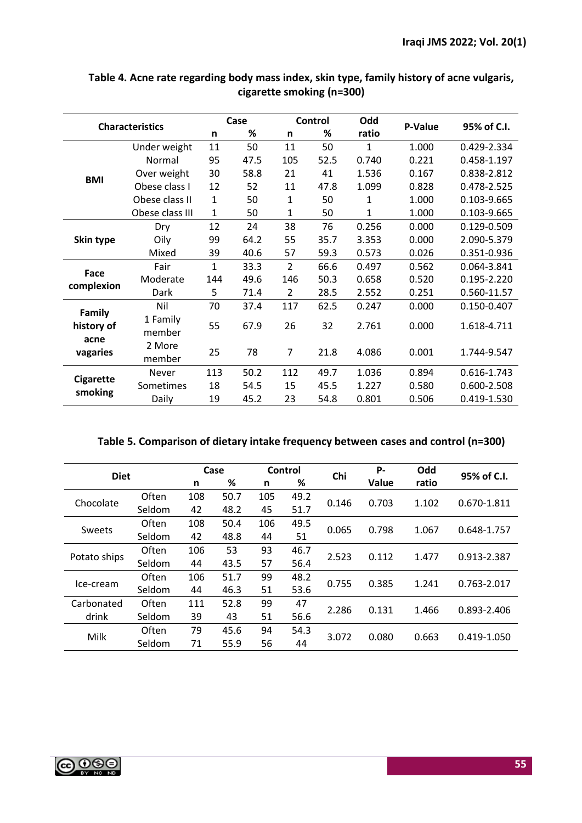| <b>Characteristics</b> |                 |              | Case |                | <b>Control</b> | Odd          | P-Value | 95% of C.I. |
|------------------------|-----------------|--------------|------|----------------|----------------|--------------|---------|-------------|
|                        |                 | n            | %    | n              | %              | ratio        |         |             |
|                        | Under weight    | 11           | 50   | 11             | 50             | $\mathbf{1}$ | 1.000   | 0.429-2.334 |
|                        | Normal          | 95           | 47.5 | 105            | 52.5           | 0.740        | 0.221   | 0.458-1.197 |
| <b>BMI</b>             | Over weight     | 30           | 58.8 | 21             | 41             | 1.536        | 0.167   | 0.838-2.812 |
|                        | Obese class I   | 12           | 52   | 11             | 47.8           | 1.099        | 0.828   | 0.478-2.525 |
|                        | Obese class II  | $\mathbf{1}$ | 50   | $\mathbf{1}$   | 50             | 1            | 1.000   | 0.103-9.665 |
|                        | Obese class III | 1            | 50   | 1              | 50             | 1            | 1.000   | 0.103-9.665 |
|                        | Dry             | 12           | 24   | 38             | 76             | 0.256        | 0.000   | 0.129-0.509 |
| Skin type              | Oily            | 99           | 64.2 | 55             | 35.7           | 3.353        | 0.000   | 2.090-5.379 |
|                        | Mixed           | 39           | 40.6 | 57             | 59.3           | 0.573        | 0.026   | 0.351-0.936 |
| Face                   | Fair            | $\mathbf{1}$ | 33.3 | $\overline{2}$ | 66.6           | 0.497        | 0.562   | 0.064-3.841 |
| complexion             | Moderate        | 144          | 49.6 | 146            | 50.3           | 0.658        | 0.520   | 0.195-2.220 |
|                        | Dark            | 5            | 71.4 | $\overline{2}$ | 28.5           | 2.552        | 0.251   | 0.560-11.57 |
| <b>Family</b>          | Nil             | 70           | 37.4 | 117            | 62.5           | 0.247        | 0.000   | 0.150-0.407 |
| history of             | 1 Family        | 55           | 67.9 | 26             | 32             | 2.761        | 0.000   | 1.618-4.711 |
| acne                   | member          |              |      |                |                |              |         |             |
| vagaries               | 2 More          | 25           | 78   | $\overline{7}$ | 21.8           | 4.086        | 0.001   | 1.744-9.547 |
|                        | member          |              |      |                |                |              |         |             |
| <b>Cigarette</b>       | Never           | 113          | 50.2 | 112            | 49.7           | 1.036        | 0.894   | 0.616-1.743 |
|                        | Sometimes       | 18           | 54.5 | 15             | 45.5           | 1.227        | 0.580   | 0.600-2.508 |
| smoking                | Daily           | 19           | 45.2 | 23             | 54.8           | 0.801        | 0.506   | 0.419-1.530 |

# **Table 4. Acne rate regarding body mass index, skin type, family history of acne vulgaris, cigarette smoking (n=300)**

|  | Table 5. Comparison of dietary intake frequency between cases and control (n=300) |  |
|--|-----------------------------------------------------------------------------------|--|
|--|-----------------------------------------------------------------------------------|--|

|              |                    |     | Case |       | Control | Chi   | Р.          | Odd   | 95% of C.I. |  |
|--------------|--------------------|-----|------|-------|---------|-------|-------------|-------|-------------|--|
| <b>Diet</b>  |                    | n   | ℅    | n     | $\%$    |       | Value       | ratio |             |  |
| Chocolate    | Often              | 108 | 50.7 | 105   | 49.2    | 0.146 | 0.703       |       | 0.670-1.811 |  |
|              | Seldom             | 42  | 48.2 | 45    | 51.7    |       |             | 1.102 |             |  |
|              | Often              | 108 | 50.4 | 106   | 49.5    |       | 0.798       | 1.067 |             |  |
| Sweets       | Seldom             | 42  | 48.8 | 44    | 51      | 0.065 |             |       | 0.648-1.757 |  |
|              | 53<br>Often<br>106 | 93  | 46.7 | 2.523 | 0.112   | 1.477 | 0.913-2.387 |       |             |  |
| Potato ships | Seldom             | 44  | 43.5 | 57    | 56.4    |       |             |       |             |  |
|              | Often              | 106 | 51.7 | 99    | 48.2    |       |             |       |             |  |
| Ice-cream    | Seldom             | 44  | 46.3 | 51    | 53.6    | 0.755 | 0.385       | 1.241 | 0.763-2.017 |  |
| Carbonated   | Often              | 111 | 52.8 | 99    | 47      |       |             |       |             |  |
| drink        | Seldom             | 39  | 43   | 51    | 56.6    | 2.286 | 0.131       | 1.466 | 0.893-2.406 |  |
| Milk         | Often              | 79  | 45.6 | 94    | 54.3    |       |             |       |             |  |
|              | Seldom             | 71  | 55.9 | 56    | 44      | 3.072 | 0.080       | 0.663 | 0.419-1.050 |  |

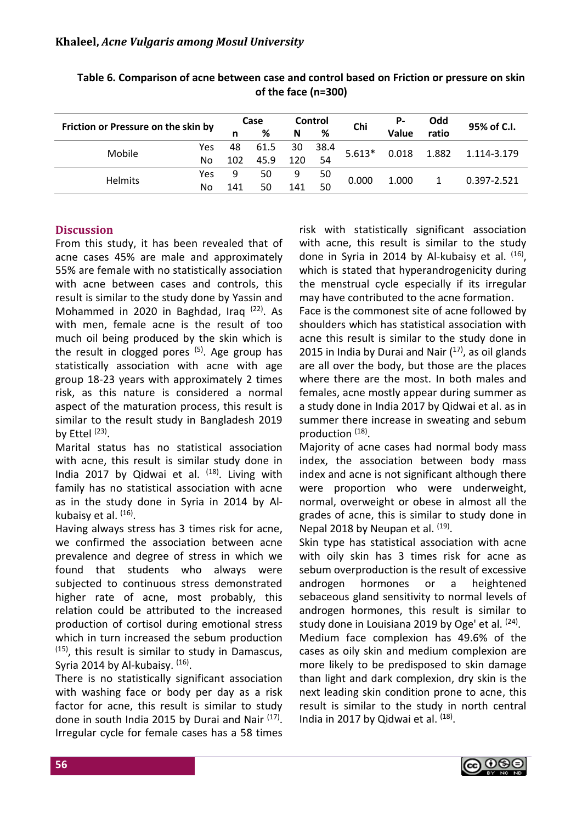| Friction or Pressure on the skin by |     | Case |      | Control | Chi  | Р-       | Odd   | 95% of C.I. |             |
|-------------------------------------|-----|------|------|---------|------|----------|-------|-------------|-------------|
|                                     |     | n    | %    | N       | ℅    |          | Value | ratio       |             |
| Mobile                              | Yes | 48   | 61.5 | 30      | 38.4 | $5.613*$ | 0.018 | 1.882       | 1.114-3.179 |
|                                     | No  | 102  | 45.9 | 120     | 54   |          |       |             |             |
| <b>Helmits</b>                      | Yes | 9    | 50   | 9       | 50   | 0.000    | 1.000 |             | 0.397-2.521 |
|                                     | No  | 141  | 50   | 141     | 50   |          |       |             |             |

**Table 6. Comparison of acne between case and control based on Friction or pressure on skin of the face (n=300)**

# **Discussion**

From this study, it has been revealed that of acne cases 45% are male and approximately 55% are female with no statistically association with acne between cases and controls, this result is similar to the study done by Yassin and Mohammed in 2020 in Baghdad, Iraq<sup>(22)</sup>. As with men, female acne is the result of too much oil being produced by the skin which is the result in clogged pores  $(5)$ . Age group has statistically association with acne with age group 18-23 years with approximately 2 times risk, as this nature is considered a normal aspect of the maturation process, this result is similar to the result study in Bangladesh 2019 by Ettel <sup>(23)</sup>.

Marital status has no statistical association with acne, this result is similar study done in India 2017 by Qidwai et al. <sup>(18)</sup>. Living with family has no statistical association with acne as in the study done in Syria in 2014 by Alkubaisy et al. <sup>(16)</sup>.

Having always stress has 3 times risk for acne, we confirmed the association between acne prevalence and degree of stress in which we found that students who always were subjected to continuous stress demonstrated higher rate of acne, most probably, this relation could be attributed to the increased production of cortisol during emotional stress which in turn increased the sebum production (15) , this result is similar to study in Damascus, Syria 2014 by Al-kubaisy. <sup>(16)</sup>.

There is no statistically significant association with washing face or body per day as a risk factor for acne, this result is similar to study done in south India 2015 by Durai and Nair (17). Irregular cycle for female cases has a 58 times

risk with statistically significant association with acne, this result is similar to the study done in Syria in 2014 by Al-kubaisy et al. <sup>(16)</sup>, which is stated that hyperandrogenicity during the menstrual cycle especially if its irregular may have contributed to the acne formation.

Face is the commonest site of acne followed by shoulders which has statistical association with acne this result is similar to the study done in 2015 in India by Durai and Nair  $(17)$ , as oil glands are all over the body, but those are the places where there are the most. In both males and females, acne mostly appear during summer as a study done in India 2017 by Qidwai et al. as in summer there increase in sweating and sebum production (18).

Majority of acne cases had normal body mass index, the association between body mass index and acne is not significant although there were proportion who were underweight, normal, overweight or obese in almost all the grades of acne, this is similar to study done in Nepal 2018 by Neupan et al. <sup>(19)</sup>.

Skin type has statistical association with acne with oily skin has 3 times risk for acne as sebum overproduction is the result of excessive androgen hormones or a heightened sebaceous gland sensitivity to normal levels of androgen hormones, this result is similar to study done in Louisiana 2019 by Oge' et al. <sup>(24)</sup>.

Medium face complexion has 49.6% of the cases as oily skin and medium complexion are more likely to be predisposed to skin damage than light and dark complexion, dry skin is the next leading skin condition prone to acne, this result is similar to the study in north central India in 2017 by Qidwai et al. <sup>(18)</sup>.

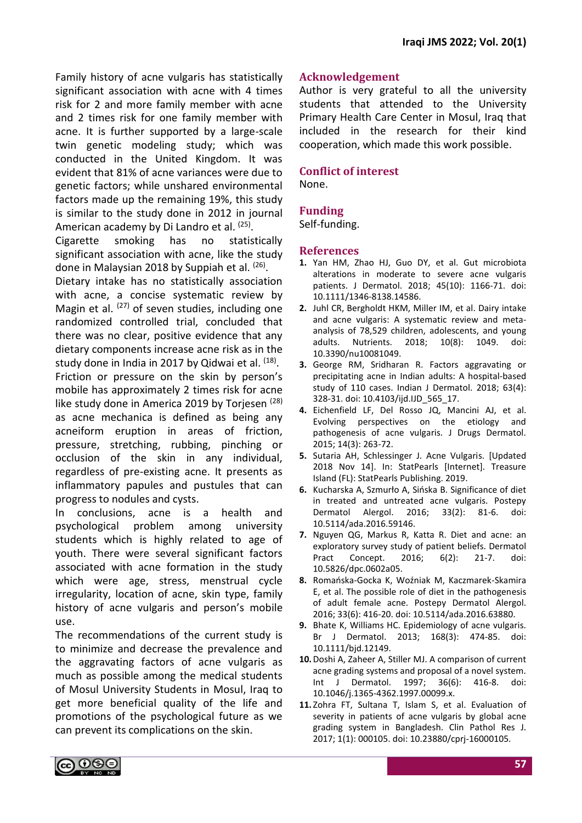Family history of acne vulgaris has statistically significant association with acne with 4 times risk for 2 and more family member with acne and 2 times risk for one family member with acne. It is further supported by a large-scale twin genetic modeling study; which was conducted in the United Kingdom. It was evident that 81% of acne variances were due to genetic factors; while unshared environmental factors made up the remaining 19%, this study is similar to the study done in 2012 in journal American academy by Di Landro et al. <sup>(25)</sup>.

Cigarette smoking has no statistically significant association with acne, like the study done in Malaysian 2018 by Suppiah et al. <sup>(26)</sup>.

Dietary intake has no statistically association with acne, a concise systematic review by Magin et al. <sup>(27)</sup> of seven studies, including one randomized controlled trial, concluded that there was no clear, positive evidence that any dietary components increase acne risk as in the study done in India in 2017 by Qidwai et al. <sup>(18)</sup>. Friction or pressure on the skin by person's mobile has approximately 2 times risk for acne like study done in America 2019 by Torjesen<sup>(28)</sup> as acne mechanica is defined as being any acneiform eruption in areas of friction, pressure, stretching, rubbing, pinching or occlusion of the skin in any individual, regardless of pre-existing acne. It presents as inflammatory papules and pustules that can progress to nodules and cysts.

In conclusions, acne is a health and psychological problem among university students which is highly related to age of youth. There were several significant factors associated with acne formation in the study which were age, stress, menstrual cycle irregularity, location of acne, skin type, family history of acne vulgaris and person's mobile use.

The recommendations of the current study is to minimize and decrease the prevalence and the aggravating factors of acne vulgaris as much as possible among the medical students of Mosul University Students in Mosul, Iraq to get more beneficial quality of the life and promotions of the psychological future as we can prevent its complications on the skin.

# **Acknowledgement**

Author is very grateful to all the university students that attended to the University Primary Health Care Center in Mosul, Iraq that included in the research for their kind cooperation, which made this work possible.

### **Conflict of interest**

None.

# **Funding**

Self-funding.

#### **References**

- **1.** Yan HM, Zhao HJ, Guo DY, et al. Gut microbiota alterations in moderate to severe acne vulgaris patients. J Dermatol. 2018; 45(10): 1166-71. doi: 10.1111/1346-8138.14586.
- **2.** Juhl CR, Bergholdt HKM, Miller IM, et al. Dairy intake and acne vulgaris: A systematic review and metaanalysis of 78,529 children, adolescents, and young adults. Nutrients. 2018; 10(8): 1049. doi: 10.3390/nu10081049.
- **3.** George RM, Sridharan R. Factors aggravating or precipitating acne in Indian adults: A hospital-based study of 110 cases. Indian J Dermatol. 2018; 63(4): 328-31. doi: 10.4103/ijd.IJD\_565\_17.
- **4.** Eichenfield LF, Del Rosso JQ, Mancini AJ, et al. Evolving perspectives on the etiology and pathogenesis of acne vulgaris. J Drugs Dermatol. 2015; 14(3): 263-72.
- **5.** Sutaria AH, Schlessinger J. Acne Vulgaris. [Updated 2018 Nov 14]. In: StatPearls [Internet]. Treasure Island (FL): StatPearls Publishing. 2019.
- **6.** Kucharska A, Szmurło A, Sińska B. Significance of diet in treated and untreated acne vulgaris. Postepy Dermatol Alergol. 2016; 33(2): 81-6. doi: 10.5114/ada.2016.59146.
- **7.** Nguyen QG, Markus R, Katta R. Diet and acne: an exploratory survey study of patient beliefs. Dermatol Pract Concept. 2016; 6(2): 21-7. doi: 10.5826/dpc.0602a05.
- **8.** Romańska-Gocka K, Woźniak M, Kaczmarek-Skamira E, et al. The possible role of diet in the pathogenesis of adult female acne. Postepy Dermatol Alergol. 2016; 33(6): 416-20. doi: 10.5114/ada.2016.63880.
- **9.** Bhate K, Williams HC. Epidemiology of acne vulgaris. Br J Dermatol. 2013; 168(3): 474-85. doi: 10.1111/bjd.12149.
- **10.**Doshi A, Zaheer A, Stiller MJ. A comparison of current acne grading systems and proposal of a novel system. Int J Dermatol. 1997; 36(6): 416-8. doi: 10.1046/j.1365-4362.1997.00099.x.
- **11.** Zohra FT, Sultana T, Islam S, et al. Evaluation of severity in patients of acne vulgaris by global acne grading system in Bangladesh. Clin Pathol Res J. 2017; 1(1): 000105. doi: 10.23880/cprj-16000105.

ல⊜